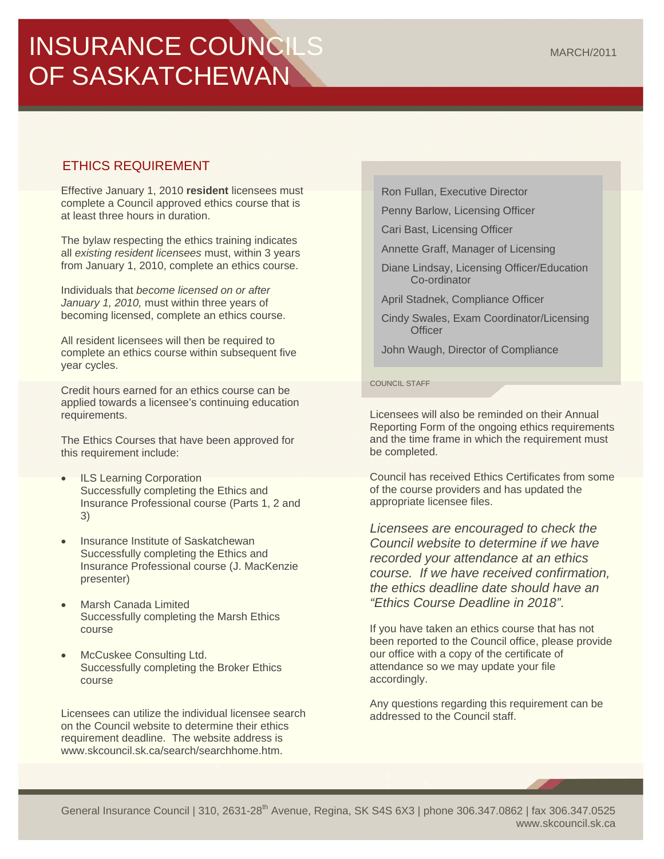# INSURANCE COUNCILS OF SASKATCHEWAN

# ETHICS REQUIREMENT

Effective January 1, 2010 **resident** licensees must complete a Council approved ethics course that is at least three hours in duration.

The bylaw respecting the ethics training indicates all *existing resident licensees* must, within 3 years from January 1, 2010, complete an ethics course.

Individuals that *become licensed on or after January 1, 2010,* must within three years of becoming licensed, complete an ethics course.

All resident licensees will then be required to complete an ethics course within subsequent five year cycles.

Credit hours earned for an ethics course can be applied towards a licensee's continuing education requirements.

The Ethics Courses that have been approved for this requirement include:

- ILS Learning Corporation Successfully completing the Ethics and Insurance Professional course (Parts 1, 2 and 3)
- Insurance Institute of Saskatchewan Successfully completing the Ethics and Insurance Professional course (J. MacKenzie presenter)
- Marsh Canada Limited Successfully completing the Marsh Ethics course
- McCuskee Consulting Ltd. Successfully completing the Broker Ethics course

Licensees can utilize the individual licensee search on the Council website to determine their ethics requirement deadline. The website address is www.skcouncil.sk.ca/search/searchhome.htm.

Ron Fullan, Executive Director

Penny Barlow, Licensing Officer

Cari Bast, Licensing Officer

Annette Graff, Manager of Licensing

Diane Lindsay, Licensing Officer/Education Co-ordinator

April Stadnek, Compliance Officer

Cindy Swales, Exam Coordinator/Licensing **Officer** 

John Waugh, Director of Compliance

COUNCIL STAFF

Licensees will also be reminded on their Annual Reporting Form of the ongoing ethics requirements and the time frame in which the requirement must be completed.

Council has received Ethics Certificates from some of the course providers and has updated the appropriate licensee files.

*Licensees are encouraged to check the Council website to determine if we have recorded your attendance at an ethics course. If we have received confirmation, the ethics deadline date should have an "Ethics Course Deadline in 2018".*

If you have taken an ethics course that has not been reported to the Council office, please provide our office with a copy of the certificate of attendance so we may update your file accordingly.

Any questions regarding this requirement can be addressed to the Council staff.